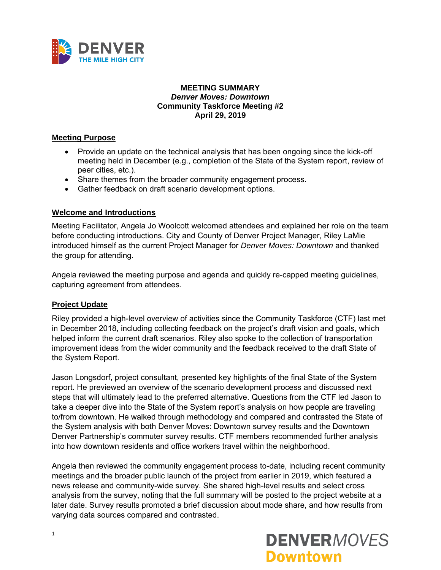

#### **MEETING SUMMARY**  *Denver Moves: Downtown*  **Community Taskforce Meeting #2 April 29, 2019**

### **Meeting Purpose**

- Provide an update on the technical analysis that has been ongoing since the kick-off meeting held in December (e.g., completion of the State of the System report, review of peer cities, etc.).
- Share themes from the broader community engagement process.
- Gather feedback on draft scenario development options.

### **Welcome and Introductions**

Meeting Facilitator, Angela Jo Woolcott welcomed attendees and explained her role on the team before conducting introductions. City and County of Denver Project Manager, Riley LaMie introduced himself as the current Project Manager for *Denver Moves: Downtown* and thanked the group for attending.

Angela reviewed the meeting purpose and agenda and quickly re-capped meeting guidelines, capturing agreement from attendees.

#### **Project Update**

Riley provided a high-level overview of activities since the Community Taskforce (CTF) last met in December 2018, including collecting feedback on the project's draft vision and goals, which helped inform the current draft scenarios. Riley also spoke to the collection of transportation improvement ideas from the wider community and the feedback received to the draft State of the System Report.

Jason Longsdorf, project consultant, presented key highlights of the final State of the System report. He previewed an overview of the scenario development process and discussed next steps that will ultimately lead to the preferred alternative. Questions from the CTF led Jason to take a deeper dive into the State of the System report's analysis on how people are traveling to/from downtown. He walked through methodology and compared and contrasted the State of the System analysis with both Denver Moves: Downtown survey results and the Downtown Denver Partnership's commuter survey results. CTF members recommended further analysis into how downtown residents and office workers travel within the neighborhood.

Angela then reviewed the community engagement process to-date, including recent community meetings and the broader public launch of the project from earlier in 2019, which featured a news release and community-wide survey. She shared high-level results and select cross analysis from the survey, noting that the full summary will be posted to the project website at a later date. Survey results promoted a brief discussion about mode share, and how results from varying data sources compared and contrasted.

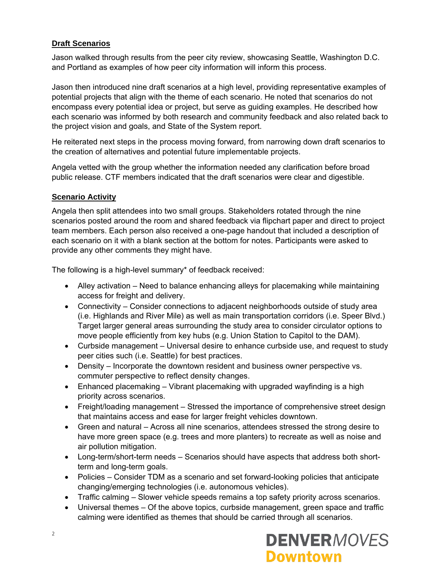# **Draft Scenarios**

Jason walked through results from the peer city review, showcasing Seattle, Washington D.C. and Portland as examples of how peer city information will inform this process.

Jason then introduced nine draft scenarios at a high level, providing representative examples of potential projects that align with the theme of each scenario. He noted that scenarios do not encompass every potential idea or project, but serve as guiding examples. He described how each scenario was informed by both research and community feedback and also related back to the project vision and goals, and State of the System report.

He reiterated next steps in the process moving forward, from narrowing down draft scenarios to the creation of alternatives and potential future implementable projects.

Angela vetted with the group whether the information needed any clarification before broad public release. CTF members indicated that the draft scenarios were clear and digestible.

### **Scenario Activity**

Angela then split attendees into two small groups. Stakeholders rotated through the nine scenarios posted around the room and shared feedback via flipchart paper and direct to project team members. Each person also received a one-page handout that included a description of each scenario on it with a blank section at the bottom for notes. Participants were asked to provide any other comments they might have.

The following is a high-level summary\* of feedback received:

- Alley activation Need to balance enhancing alleys for placemaking while maintaining access for freight and delivery.
- Connectivity Consider connections to adjacent neighborhoods outside of study area (i.e. Highlands and River Mile) as well as main transportation corridors (i.e. Speer Blvd.) Target larger general areas surrounding the study area to consider circulator options to move people efficiently from key hubs (e.g. Union Station to Capitol to the DAM).
- Curbside management Universal desire to enhance curbside use, and request to study peer cities such (i.e. Seattle) for best practices.
- Density Incorporate the downtown resident and business owner perspective vs. commuter perspective to reflect density changes.
- Enhanced placemaking Vibrant placemaking with upgraded wayfinding is a high priority across scenarios.
- Freight/loading management Stressed the importance of comprehensive street design that maintains access and ease for larger freight vehicles downtown.
- Green and natural Across all nine scenarios, attendees stressed the strong desire to have more green space (e.g. trees and more planters) to recreate as well as noise and air pollution mitigation.
- Long-term/short-term needs Scenarios should have aspects that address both shortterm and long-term goals.
- Policies Consider TDM as a scenario and set forward-looking policies that anticipate changing/emerging technologies (i.e. autonomous vehicles).
- Traffic calming Slower vehicle speeds remains a top safety priority across scenarios.
- Universal themes Of the above topics, curbside management, green space and traffic calming were identified as themes that should be carried through all scenarios.

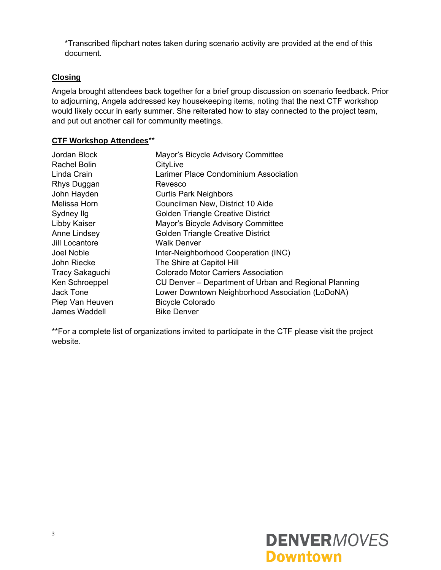\*Transcribed flipchart notes taken during scenario activity are provided at the end of this document.

# **Closing**

Angela brought attendees back together for a brief group discussion on scenario feedback. Prior to adjourning, Angela addressed key housekeeping items, noting that the next CTF workshop would likely occur in early summer. She reiterated how to stay connected to the project team, and put out another call for community meetings.

### **CTF Workshop Attendees**\*\*

| Jordan Block           | Mayor's Bicycle Advisory Committee                    |
|------------------------|-------------------------------------------------------|
| Rachel Bolin           | CityLive                                              |
| Linda Crain            | Larimer Place Condominium Association                 |
| Rhys Duggan            | Revesco                                               |
| John Hayden            | <b>Curtis Park Neighbors</b>                          |
| Melissa Horn           | Councilman New, District 10 Aide                      |
| Sydney Ilg             | <b>Golden Triangle Creative District</b>              |
| Libby Kaiser           | Mayor's Bicycle Advisory Committee                    |
| Anne Lindsey           | <b>Golden Triangle Creative District</b>              |
| Jill Locantore         | <b>Walk Denver</b>                                    |
| Joel Noble             | Inter-Neighborhood Cooperation (INC)                  |
| John Riecke            | The Shire at Capitol Hill                             |
| <b>Tracy Sakaguchi</b> | <b>Colorado Motor Carriers Association</b>            |
| Ken Schroeppel         | CU Denver – Department of Urban and Regional Planning |
| Jack Tone              | Lower Downtown Neighborhood Association (LoDoNA)      |
| Piep Van Heuven        | <b>Bicycle Colorado</b>                               |
| James Waddell          | <b>Bike Denver</b>                                    |

\*\*For a complete list of organizations invited to participate in the CTF please visit the project website.